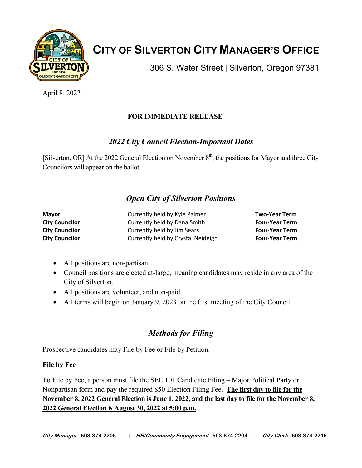

# **CITY OF SILVERTON CITY MANAGER'S OFFICE**

306 S. Water Street | Silverton, Oregon 97381

April 8, 2022

## **FOR IMMEDIATE RELEASE**

# *2022 City Council Election-Important Dates*

[Silverton, OR] At the 2022 General Election on November  $8<sup>th</sup>$ , the positions for Mayor and three City Councilors will appear on the ballot.

# *Open City of Silverton Positions*

| Mayor                 | Currently held by Kyle Palmer      | <b>Two-Year Term</b>  |
|-----------------------|------------------------------------|-----------------------|
| <b>City Councilor</b> | Currently held by Dana Smith       | <b>Four-Year Term</b> |
| <b>City Councilor</b> | Currently held by Jim Sears        | <b>Four-Year Term</b> |
| <b>City Councilor</b> | Currently held by Crystal Neideigh | <b>Four-Year Term</b> |

- All positions are non-partisan.
- Council positions are elected at-large, meaning candidates may reside in any area of the City of Silverton.
- All positions are volunteer, and non-paid.
- All terms will begin on January 9, 2023 on the first meeting of the City Council.

# *Methods for Filing*

Prospective candidates may File by Fee or File by Petition.

### **File by Fee**

To File by Fee, a person must file the SEL 101 Candidate Filing – Major Political Party or Nonpartisan form and pay the required \$50 Election Filing Fee. **The first day to file for the November 8, 2022 General Election is June 1, 2022, and the last day to file for the November 8, 2022 General Election is August 30, 2022 at 5:00 p.m.**